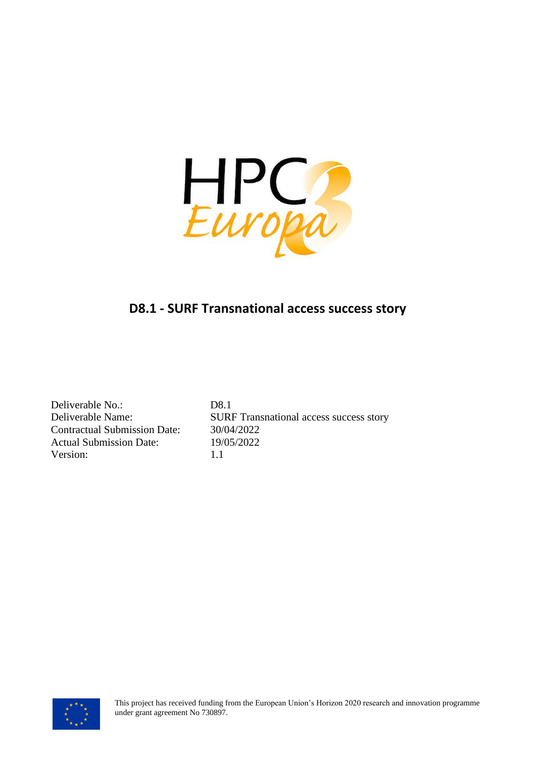

Deliverable No.: D8.1 Contractual Submission Date: 30/04/2022 Actual Submission Date: 19/05/2022 Version: 1.1

Deliverable Name: SURF Transnational access success story

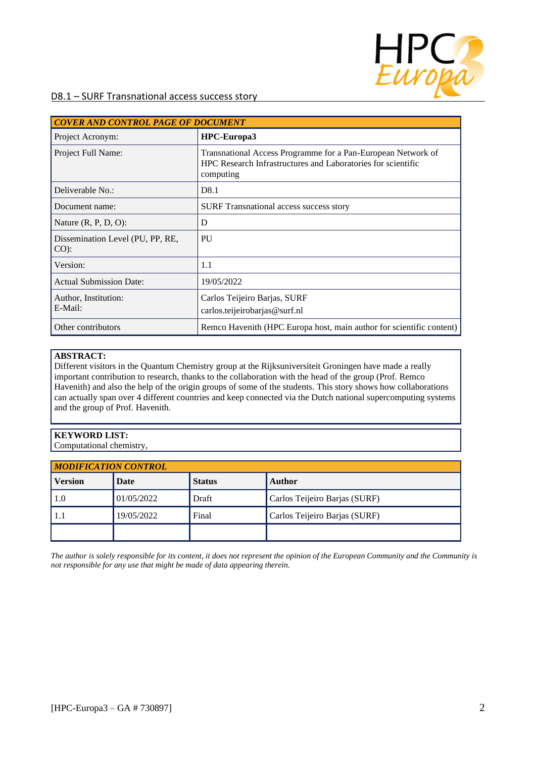

| <b>COVER AND CONTROL PAGE OF DOCUMENT</b>  |                                                                                                                                           |  |  |
|--------------------------------------------|-------------------------------------------------------------------------------------------------------------------------------------------|--|--|
| Project Acronym:                           | HPC-Europa3                                                                                                                               |  |  |
| Project Full Name:                         | Transnational Access Programme for a Pan-European Network of<br>HPC Research Infrastructures and Laboratories for scientific<br>computing |  |  |
| Deliverable No.:                           | D <sub>8.1</sub>                                                                                                                          |  |  |
| Document name:                             | <b>SURF</b> Transnational access success story                                                                                            |  |  |
| Nature $(R, P, D, O)$ :                    | D                                                                                                                                         |  |  |
| Dissemination Level (PU, PP, RE,<br>$CO$ : | <b>PU</b>                                                                                                                                 |  |  |
| Version:                                   | 1.1                                                                                                                                       |  |  |
| <b>Actual Submission Date:</b>             | 19/05/2022                                                                                                                                |  |  |
| Author, Institution:<br>E-Mail:            | Carlos Teijeiro Barjas, SURF<br>carlos.teijeirobarjas@surf.nl                                                                             |  |  |
| Other contributors                         | Remco Havenith (HPC Europa host, main author for scientific content)                                                                      |  |  |

#### **ABSTRACT:**

Different visitors in the Quantum Chemistry group at the Rijksuniversiteit Groningen have made a really important contribution to research, thanks to the collaboration with the head of the group (Prof. Remco Havenith) and also the help of the origin groups of some of the students. This story shows how collaborations can actually span over 4 different countries and keep connected via the Dutch national supercomputing systems and the group of Prof. Havenith.

### **KEYWORD LIST:**

Computational chemistry,

| <b>MODIFICATION CONTROL</b> |            |               |                               |  |
|-----------------------------|------------|---------------|-------------------------------|--|
| <b>Version</b>              | Date       | <b>Status</b> | <b>Author</b>                 |  |
| 1.0                         | 01/05/2022 | Draft         | Carlos Teijeiro Barjas (SURF) |  |
|                             | 19/05/2022 | Final         | Carlos Teijeiro Barjas (SURF) |  |
|                             |            |               |                               |  |

*The author is solely responsible for its content, it does not represent the opinion of the European Community and the Community is not responsible for any use that might be made of data appearing therein.*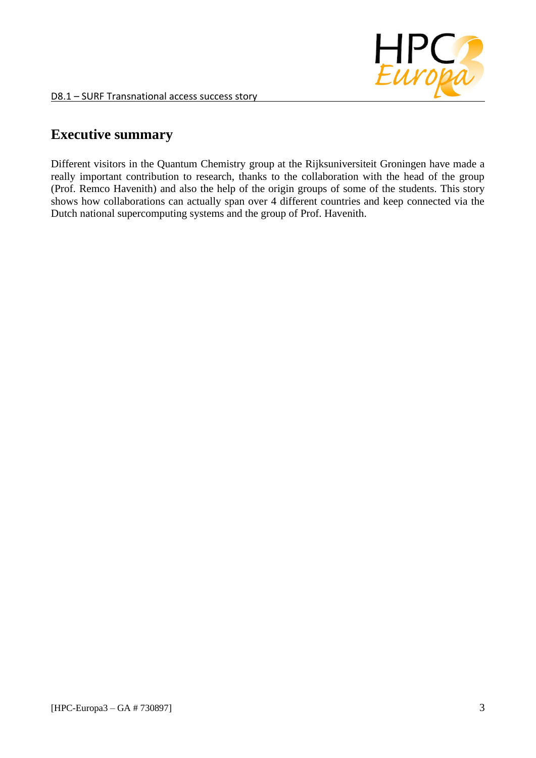

# **Executive summary**

Different visitors in the Quantum Chemistry group at the Rijksuniversiteit Groningen have made a really important contribution to research, thanks to the collaboration with the head of the group (Prof. Remco Havenith) and also the help of the origin groups of some of the students. This story shows how collaborations can actually span over 4 different countries and keep connected via the Dutch national supercomputing systems and the group of Prof. Havenith.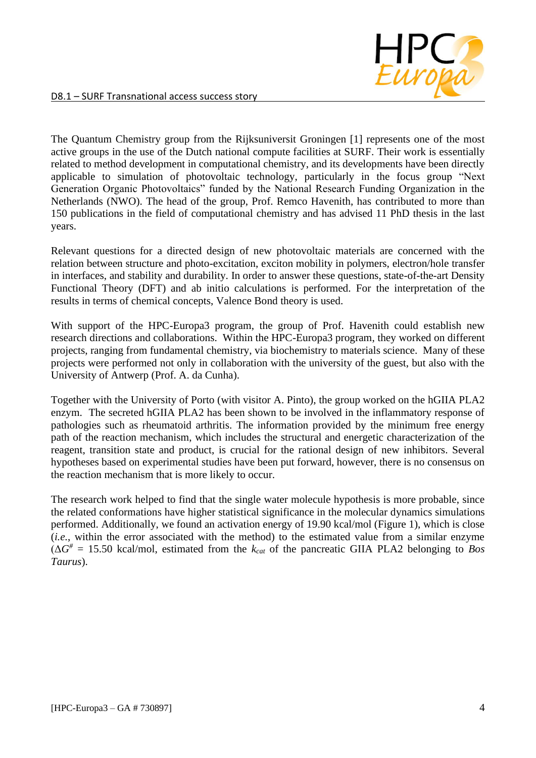

The Quantum Chemistry group from the Rijksuniversit Groningen [1] represents one of the most active groups in the use of the Dutch national compute facilities at SURF. Their work is essentially related to method development in computational chemistry, and its developments have been directly applicable to simulation of photovoltaic technology, particularly in the focus group "Next Generation Organic Photovoltaics" funded by the National Research Funding Organization in the Netherlands (NWO). The head of the group, Prof. Remco Havenith, has contributed to more than 150 publications in the field of computational chemistry and has advised 11 PhD thesis in the last years.

Relevant questions for a directed design of new photovoltaic materials are concerned with the relation between structure and photo-excitation, exciton mobility in polymers, electron/hole transfer in interfaces, and stability and durability. In order to answer these questions, state-of-the-art Density Functional Theory (DFT) and ab initio calculations is performed. For the interpretation of the results in terms of chemical concepts, Valence Bond theory is used.

With support of the HPC-Europa3 program, the group of Prof. Havenith could establish new research directions and collaborations. Within the HPC-Europa3 program, they worked on different projects, ranging from fundamental chemistry, via biochemistry to materials science. Many of these projects were performed not only in collaboration with the university of the guest, but also with the University of Antwerp (Prof. A. da Cunha).

Together with the University of Porto (with visitor A. Pinto), the group worked on the hGIIA PLA2 enzym. The secreted hGIIA PLA2 has been shown to be involved in the inflammatory response of pathologies such as rheumatoid arthritis. The information provided by the minimum free energy path of the reaction mechanism, which includes the structural and energetic characterization of the reagent, transition state and product, is crucial for the rational design of new inhibitors. Several hypotheses based on experimental studies have been put forward, however, there is no consensus on the reaction mechanism that is more likely to occur.

The research work helped to find that the single water molecule hypothesis is more probable, since the related conformations have higher statistical significance in the molecular dynamics simulations performed. Additionally, we found an activation energy of 19.90 kcal/mol (Figure 1), which is close (*i.e.*, within the error associated with the method) to the estimated value from a similar enzyme  $(\Delta G^{\#} = 15.50 \text{ kcal/mol}, \text{ estimated from the } k_{cat} \text{ of the pancreatic GIIA PLA2 belonging to *Bos*$ *Taurus*).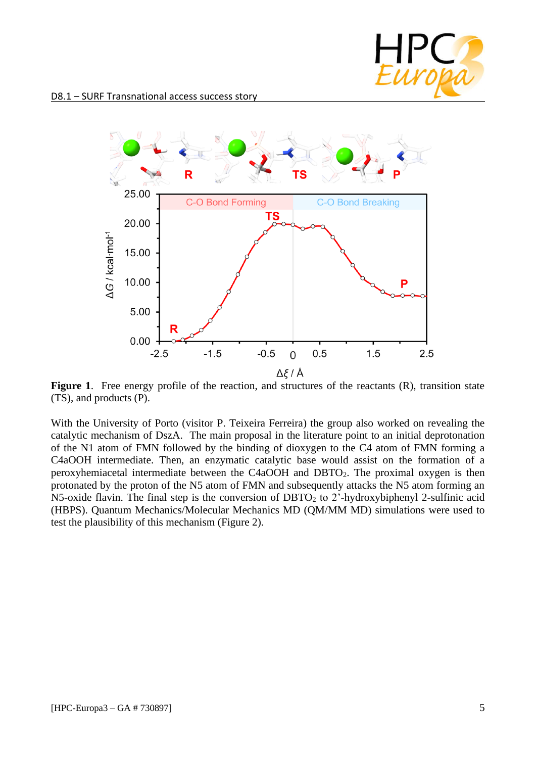



Figure 1. Free energy profile of the reaction, and structures of the reactants (R), transition state (TS), and products (P).

With the University of Porto (visitor P. Teixeira Ferreira) the group also worked on revealing the catalytic mechanism of DszA. The main proposal in the literature point to an initial deprotonation of the N1 atom of FMN followed by the binding of dioxygen to the C4 atom of FMN forming a C4aOOH intermediate. Then, an enzymatic catalytic base would assist on the formation of a peroxyhemiacetal intermediate between the C4aOOH and DBTO2. The proximal oxygen is then protonated by the proton of the N5 atom of FMN and subsequently attacks the N5 atom forming an N5-oxide flavin. The final step is the conversion of DBTO<sub>2</sub> to 2'-hydroxybiphenyl 2-sulfinic acid (HBPS). Quantum Mechanics/Molecular Mechanics MD (QM/MM MD) simulations were used to test the plausibility of this mechanism (Figure 2).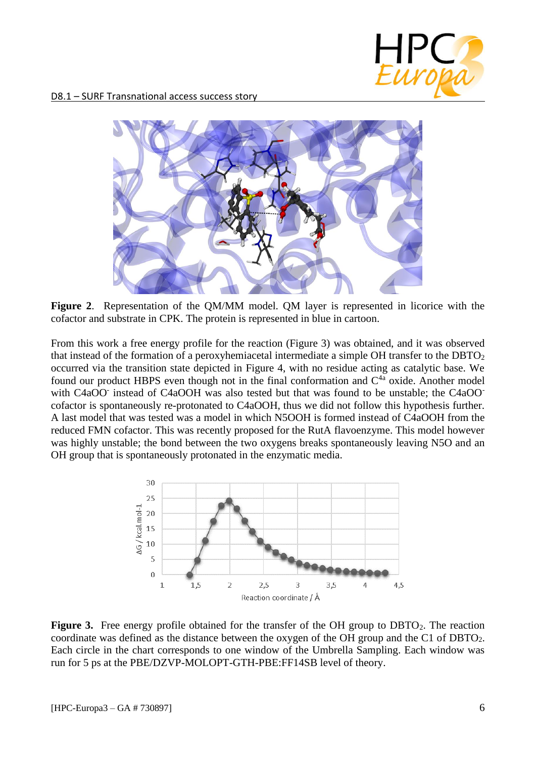

D8.1 – SURF Transnational access success story



**Figure 2**. Representation of the QM/MM model. QM layer is represented in licorice with the cofactor and substrate in CPK. The protein is represented in blue in cartoon.

From this work a free energy profile for the reaction (Figure 3) was obtained, and it was observed that instead of the formation of a peroxyhemiacetal intermediate a simple OH transfer to the DBTO<sup>2</sup> occurred via the transition state depicted in Figure 4, with no residue acting as catalytic base. We found our product HBPS even though not in the final conformation and  $C<sup>4a</sup>$  oxide. Another model with C4aOO<sup>-</sup> instead of C4aOOH was also tested but that was found to be unstable; the C4aOO<sup>-</sup> cofactor is spontaneously re-protonated to C4aOOH, thus we did not follow this hypothesis further. A last model that was tested was a model in which N5OOH is formed instead of C4aOOH from the reduced FMN cofactor. This was recently proposed for the RutA flavoenzyme. This model however was highly unstable; the bond between the two oxygens breaks spontaneously leaving N5O and an OH group that is spontaneously protonated in the enzymatic media.



**Figure 3.** Free energy profile obtained for the transfer of the OH group to DBTO<sub>2</sub>. The reaction coordinate was defined as the distance between the oxygen of the OH group and the C1 of DBTO2. Each circle in the chart corresponds to one window of the Umbrella Sampling. Each window was run for 5 ps at the PBE/DZVP-MOLOPT-GTH-PBE:FF14SB level of theory.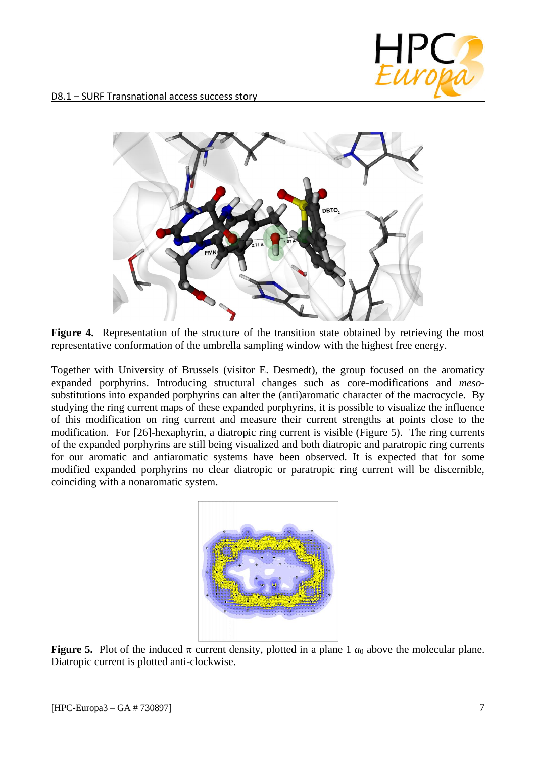



Figure 4. Representation of the structure of the transition state obtained by retrieving the most representative conformation of the umbrella sampling window with the highest free energy.

Together with University of Brussels (visitor E. Desmedt), the group focused on the aromaticy expanded porphyrins. Introducing structural changes such as core-modifications and *meso*substitutions into expanded porphyrins can alter the (anti)aromatic character of the macrocycle. By studying the ring current maps of these expanded porphyrins, it is possible to visualize the influence of this modification on ring current and measure their current strengths at points close to the modification. For [26]-hexaphyrin, a diatropic ring current is visible (Figure 5). The ring currents of the expanded porphyrins are still being visualized and both diatropic and paratropic ring currents for our aromatic and antiaromatic systems have been observed. It is expected that for some modified expanded porphyrins no clear diatropic or paratropic ring current will be discernible, coinciding with a nonaromatic system.



**Figure 5.** Plot of the induced  $\pi$  current density, plotted in a plane 1  $a_0$  above the molecular plane. Diatropic current is plotted anti-clockwise.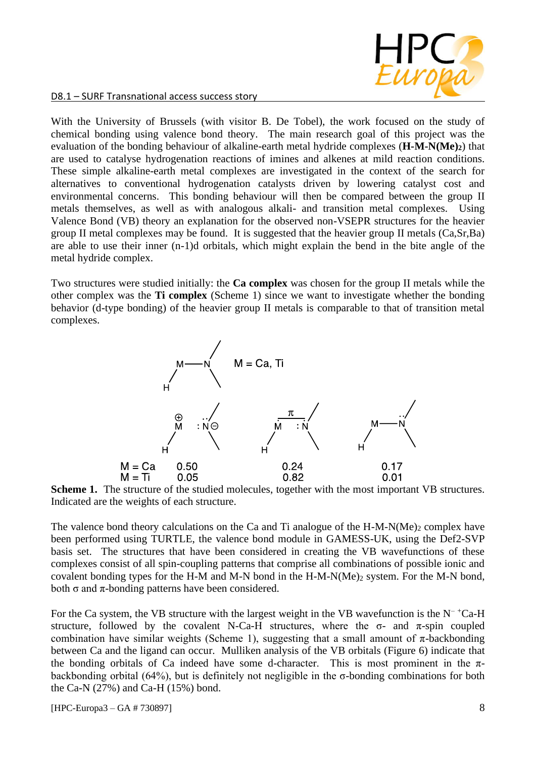

With the University of Brussels (with visitor B. De Tobel), the work focused on the study of chemical bonding using valence bond theory. The main research goal of this project was the evaluation of the bonding behaviour of alkaline-earth metal hydride complexes (**H-M-N(Me)2**) that are used to catalyse hydrogenation reactions of imines and alkenes at mild reaction conditions. These simple alkaline-earth metal complexes are investigated in the context of the search for alternatives to conventional hydrogenation catalysts driven by lowering catalyst cost and environmental concerns. This bonding behaviour will then be compared between the group II metals themselves, as well as with analogous alkali- and transition metal complexes. Using Valence Bond (VB) theory an explanation for the observed non-VSEPR structures for the heavier group II metal complexes may be found. It is suggested that the heavier group II metals (Ca,Sr,Ba) are able to use their inner (n-1)d orbitals, which might explain the bend in the bite angle of the metal hydride complex.

Two structures were studied initially: the **Ca complex** was chosen for the group II metals while the other complex was the **Ti complex** (Scheme 1) since we want to investigate whether the bonding behavior (d-type bonding) of the heavier group II metals is comparable to that of transition metal complexes.



**Scheme 1.** The structure of the studied molecules, together with the most important VB structures. Indicated are the weights of each structure.

The valence bond theory calculations on the Ca and Ti analogue of the  $H-M-N(Me)_2$  complex have been performed using TURTLE, the valence bond module in GAMESS-UK, using the Def2-SVP basis set. The structures that have been considered in creating the VB wavefunctions of these complexes consist of all spin-coupling patterns that comprise all combinations of possible ionic and covalent bonding types for the H-M and M-N bond in the H-M-N(Me)<sub>2</sub> system. For the M-N bond, both  $\sigma$  and  $\pi$ -bonding patterns have been considered.

For the Ca system, the VB structure with the largest weight in the VB wavefunction is the  $N^{-+}Ca-H$ structure, followed by the covalent N-Ca-H structures, where the  $\sigma$ - and  $\pi$ -spin coupled combination have similar weights (Scheme 1), suggesting that a small amount of  $\pi$ -backbonding between Ca and the ligand can occur. Mulliken analysis of the VB orbitals (Figure 6) indicate that the bonding orbitals of Ca indeed have some d-character. This is most prominent in the  $\pi$ backbonding orbital (64%), but is definitely not negligible in the σ-bonding combinations for both the Ca-N (27%) and Ca-H (15%) bond.

[HPC-Europa3 – GA # 730897] 8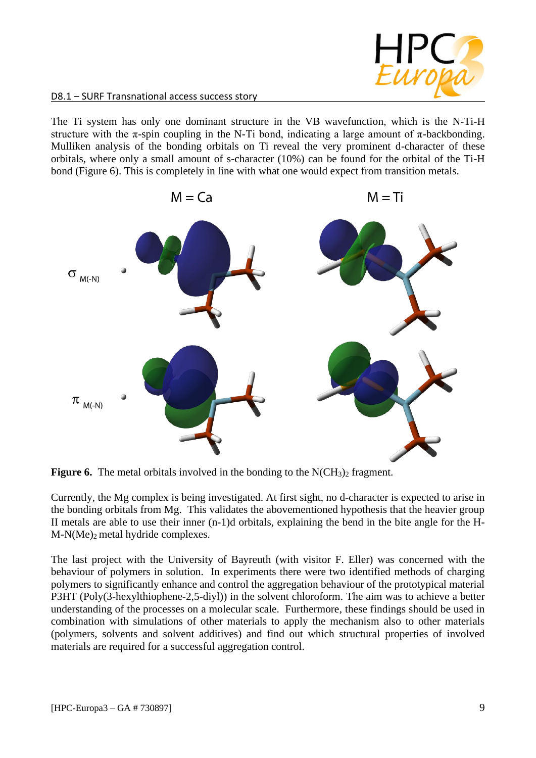

The Ti system has only one dominant structure in the VB wavefunction, which is the N-Ti-H structure with the  $\pi$ -spin coupling in the N-Ti bond, indicating a large amount of  $\pi$ -backbonding. Mulliken analysis of the bonding orbitals on Ti reveal the very prominent d-character of these orbitals, where only a small amount of s-character (10%) can be found for the orbital of the Ti-H bond (Figure 6). This is completely in line with what one would expect from transition metals.



**Figure 6.** The metal orbitals involved in the bonding to the  $N(CH_3)$  fragment.

Currently, the Mg complex is being investigated. At first sight, no d-character is expected to arise in the bonding orbitals from Mg. This validates the abovementioned hypothesis that the heavier group II metals are able to use their inner (n-1)d orbitals, explaining the bend in the bite angle for the H-M-N(Me)2 metal hydride complexes.

The last project with the University of Bayreuth (with visitor F. Eller) was concerned with the behaviour of polymers in solution. In experiments there were two identified methods of charging polymers to significantly enhance and control the aggregation behaviour of the prototypical material P3HT (Poly(3-hexylthiophene-2,5-diyl)) in the solvent chloroform. The aim was to achieve a better understanding of the processes on a molecular scale. Furthermore, these findings should be used in combination with simulations of other materials to apply the mechanism also to other materials (polymers, solvents and solvent additives) and find out which structural properties of involved materials are required for a successful aggregation control.